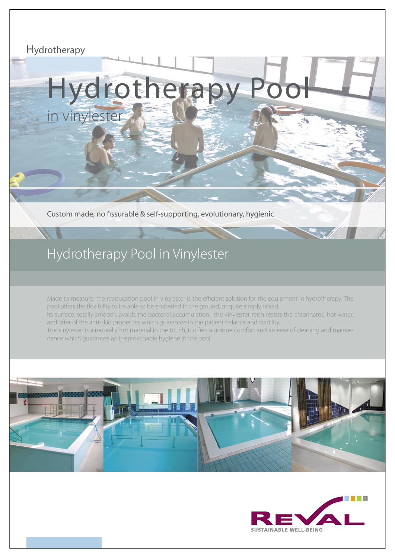# Hydrotherapy

# Hydrotherapy in vinylester

Custom made, no fissurable & self-supporting, evolutionary, hygienic

# Hydrotherapy Pool in Vinylester

Made to measure, the reeducation pool in vinylester is the efficient solution for the equipment in hydrotherapy. The pool offers the flexibility to be able to be embeded in the ground, or quite simply raised. Its surface, totally smooth, avoids the bacterial accumulation: the vinylester resin resists the chlorinated hot water, and offer of the anti-skid properties which guarantee in the patient balance and stability. The vinylester is a naturally hot material in the touch, it offers a unique comfort and an ease of cleaning and maintenance which guarantee an irreproachable hygiene in the pool.